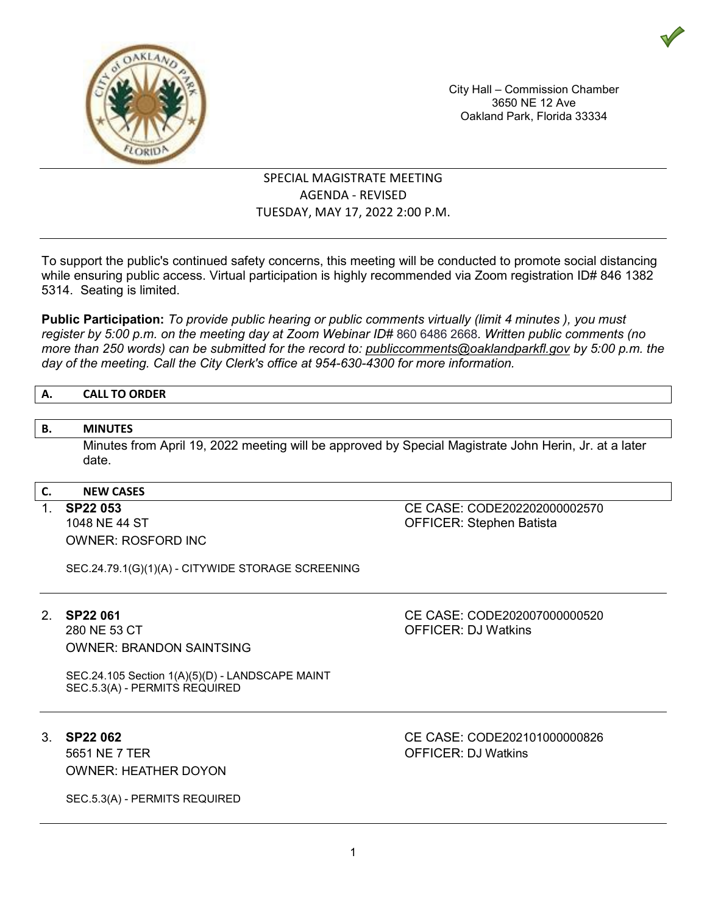

City Hall – Commission Chamber 3650 NE 12 Ave Oakland Park, Florida 33334

# SPECIAL MAGISTRATE MEETING AGENDA - REVISED TUESDAY, MAY 17, 2022 2:00 P.M.

To support the public's continued safety concerns, this meeting will be conducted to promote social distancing while ensuring public access. Virtual participation is highly recommended via Zoom registration ID# 846 1382 5314. Seating is limited.

**Public Participation:** *To provide public hearing or public comments virtually (limit 4 minutes ), you must register by 5:00 p.m. on the meeting day at Zoom Webinar ID#* 860 6486 2668*. Written public comments (no more than 250 words) can be submitted for the record to: publiccomments@oaklandparkfl.gov by 5:00 p.m. the day of the meeting. Call the City Clerk's office at 954-630-4300 for more information.*

# **A. CALL TO ORDER**

# **B. MINUTES**

Minutes from April 19, 2022 meeting will be approved by Special Magistrate John Herin, Jr. at a later date.

### **C. NEW CASES**

OWNER: ROSFORD INC

1. **SP22 053** CE CASE: CODE202202000002570 OFFICER: Stephen Batista

SEC.24.79.1(G)(1)(A) - CITYWIDE STORAGE SCREENING

OWNER: BRANDON SAINTSING

2. **SP22 061** CE CASE: CODE202007000000520 OFFICER: DJ Watkins

SEC.24.105 Section 1(A)(5)(D) - LANDSCAPE MAINT SEC.5.3(A) - PERMITS REQUIRED

5651 NE 7 TER **OFFICER: DJ Watkins** OWNER: HEATHER DOYON

SEC.5.3(A) - PERMITS REQUIRED

3. **SP22 062** CE CASE: CODE202101000000826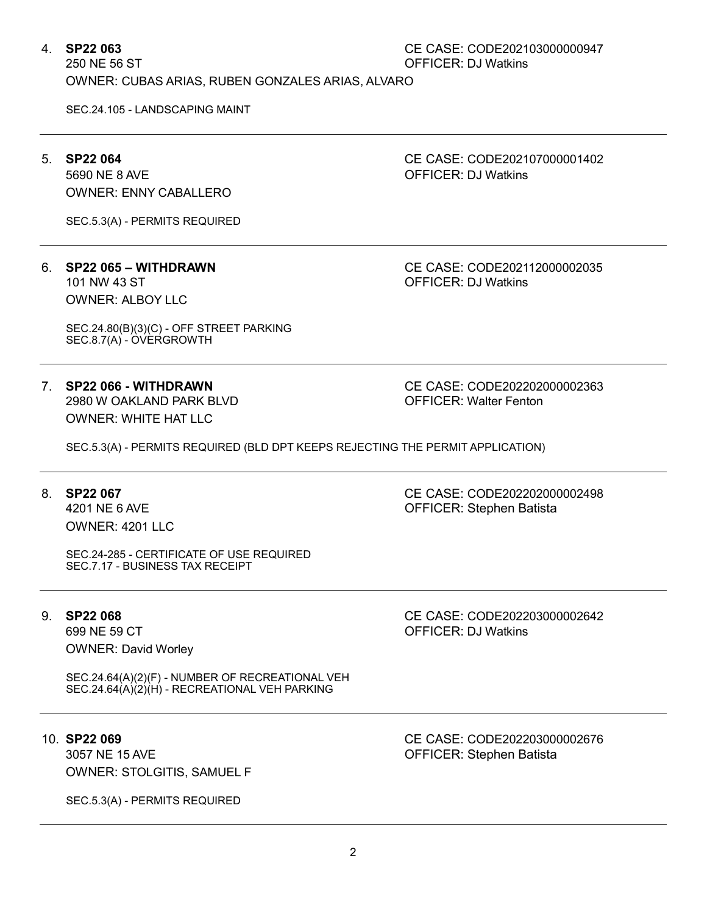# 4. **SP22 063** CE CASE: CODE202103000000947 OFFICER: DJ Watkins

OWNER: CUBAS ARIAS, RUBEN GONZALES ARIAS, ALVARO

SEC.24.105 - LANDSCAPING MAINT

# 5. **SP22 064** CE CASE: CODE202107000001402

5690 NE 8 AVE **OFFICER: DJ Watkins** OWNER: ENNY CABALLERO

SEC.5.3(A) - PERMITS REQUIRED

# 6. **SP22 065 – WITHDRAWN** CE CASE: CODE202112000002035

OWNER: ALBOY LLC

SEC.24.80(B)(3)(C) - OFF STREET PARKING SEC.8.7(A) - OVERGROWTH

7. **SP22 066 - WITHDRAWN** CE CASE: CODE202202000002363 2980 W OAKLAND PARK BLVD OWNER: WHITE HAT LLC

**OFFICER: DJ Watkins** 

SEC.5.3(A) - PERMITS REQUIRED (BLD DPT KEEPS REJECTING THE PERMIT APPLICATION)

## 8. **SP22 067** CE CASE: CODE202202000002498

4201 NE 6 AVE OFFICER: Stephen Batista OWNER: 4201 LLC

SEC.24-285 - CERTIFICATE OF USE REQUIRED SEC.7.17 - BUSINESS TAX RECEIPT

699 NE 59 CT OFFICER: DJ Watkins OWNER: David Worley

SEC.24.64(A)(2)(F) - NUMBER OF RECREATIONAL VEH SEC.24.64(A)(2)(H) - RECREATIONAL VEH PARKING

3057 NE 15 AVE **CONTROLLER:** Stephen Batista OWNER: STOLGITIS, SAMUEL F

SEC.5.3(A) - PERMITS REQUIRED

9. **SP22 068** CE CASE: CODE202203000002642

10. **SP22 069** CE CASE: CODE202203000002676

2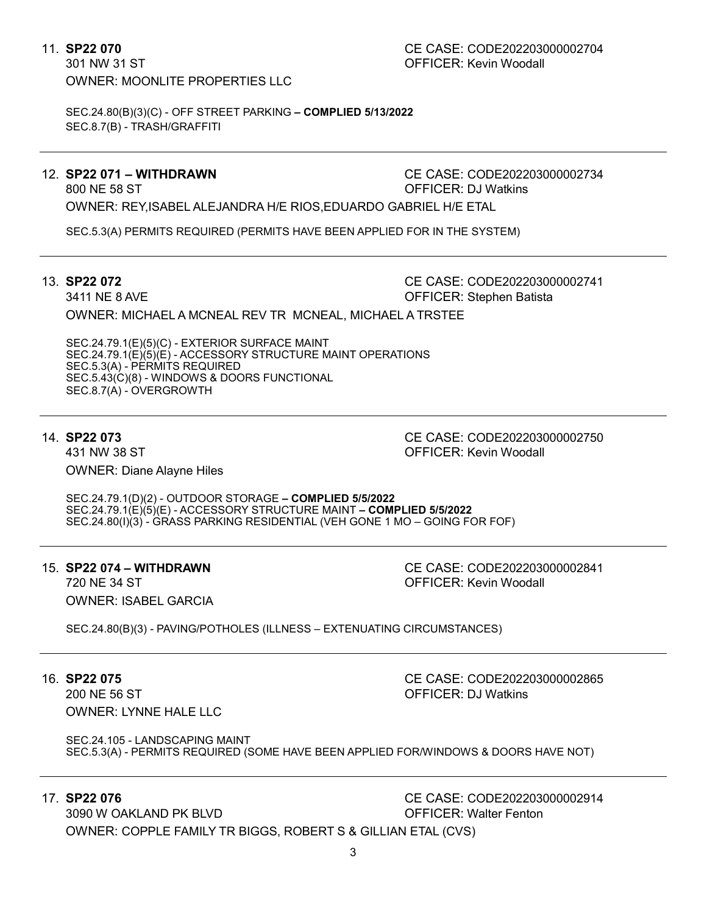301 NW 31 ST OFFICER: Kevin Woodall OWNER: MOONLITE PROPERTIES LLC

SEC.24.80(B)(3)(C) - OFF STREET PARKING **– COMPLIED 5/13/2022** SEC.8.7(B) - TRASH/GRAFFITI

12. **SP22 071 – WITHDRAWN** CE CASE: CODE202203000002734 800 NE 58 ST OFFICER: DJ Watkins

OWNER: REY,ISABEL ALEJANDRA H/E RIOS,EDUARDO GABRIEL H/E ETAL

SEC.5.3(A) PERMITS REQUIRED (PERMITS HAVE BEEN APPLIED FOR IN THE SYSTEM)

13. **SP22 072** CE CASE: CODE202203000002741 3411 NE 8 AVE **OFFICER:** Stephen Batista OWNER: MICHAEL A MCNEAL REV TR MCNEAL, MICHAEL A TRSTEE

SEC.24.79.1(E)(5)(C) - EXTERIOR SURFACE MAINT SEC.24.79.1(E)(5)(E) - ACCESSORY STRUCTURE MAINT OPERATIONS SEC.5.3(A) - PERMITS REQUIRED SEC.5.43(C)(8) - WINDOWS & DOORS FUNCTIONAL SEC.8.7(A) - OVERGROWTH

431 NW 38 ST OFFICER: Kevin Woodall OWNER: Diane Alayne Hiles

14. **SP22 073** CE CASE: CODE202203000002750

SEC.24.79.1(D)(2) - OUTDOOR STORAGE **– COMPLIED 5/5/2022** SEC.24.79.1(E)(5)(E) - ACCESSORY STRUCTURE MAINT **– COMPLIED 5/5/2022** SEC.24.80(I)(3) - GRASS PARKING RESIDENTIAL (VEH GONE 1 MO – GOING FOR FOF)

OWNER: ISABEL GARCIA

15. **SP22 074 – WITHDRAWN** CE CASE: CODE202203000002841 720 NE 34 ST OFFICER: Kevin Woodall

SEC.24.80(B)(3) - PAVING/POTHOLES (ILLNESS – EXTENUATING CIRCUMSTANCES)

200 NE 56 ST OFFICER: DJ Watkins OWNER: LYNNE HALE LLC

16. **SP22 075** CE CASE: CODE202203000002865

SEC.24.105 - LANDSCAPING MAINT SEC.5.3(A) - PERMITS REQUIRED (SOME HAVE BEEN APPLIED FOR/WINDOWS & DOORS HAVE NOT)

17. **SP22 076** CE CASE: CODE202203000002914

3090 W OAKLAND PK BLVD OFFICER: Walter Fenton OWNER: COPPLE FAMILY TR BIGGS, ROBERT S & GILLIAN ETAL (CVS)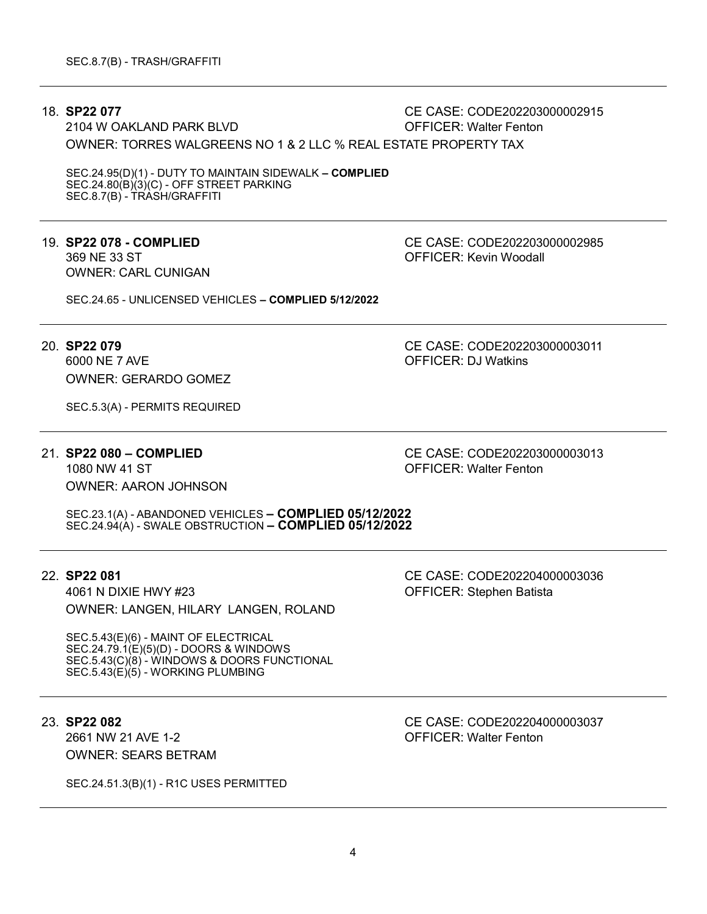18. **SP22 077** CE CASE: CODE202203000002915

2104 W OAKLAND PARK BLVD OWNER: TORRES WALGREENS NO 1 & 2 LLC % REAL ESTATE PROPERTY TAX

SEC.24.95(D)(1) - DUTY TO MAINTAIN SIDEWALK **– COMPLIED**  $SEC.24.80(B)(3)(C) - OFF STREET PARKING$ SEC.8.7(B) - TRASH/GRAFFITI

# 369 NE 33 ST OFFICER: Kevin Woodall OWNER: CARL CUNIGAN

19. **SP22 078 - COMPLIED** CE CASE: CODE202203000002985

SEC.24.65 - UNLICENSED VEHICLES **– COMPLIED 5/12/2022**

6000 NE 7 AVE **OFFICER: DJ Watkins** OWNER: GERARDO GOMEZ

SEC.5.3(A) - PERMITS REQUIRED

# OWNER: AARON JOHNSON

20. **SP22 079** CE CASE: CODE202203000003011

21. **SP22 080 – COMPLIED** CE CASE: CODE202203000003013 **OFFICER: Walter Fenton** 

SEC.23.1(A) - ABANDONED VEHICLES **– COMPLIED 05/12/2022** SEC.24.94(A) - SWALE OBSTRUCTION **– COMPLIED 05/12/2022**

4061 N DIXIE HWY #23 OFFICER: Stephen Batista OWNER: LANGEN, HILARY LANGEN, ROLAND

SEC.5.43(E)(6) - MAINT OF ELECTRICAL SEC.24.79.1(E)(5)(D) - DOORS & WINDOWS SEC.5.43(C)(8) - WINDOWS & DOORS FUNCTIONAL SEC.5.43(E)(5) - WORKING PLUMBING

2661 NW 21 AVE 1-2 OFFICER: Walter Fenton OWNER: SEARS BETRAM

SEC.24.51.3(B)(1) - R1C USES PERMITTED

22. **SP22 081** CE CASE: CODE202204000003036

4

23. **SP22 082** CE CASE: CODE202204000003037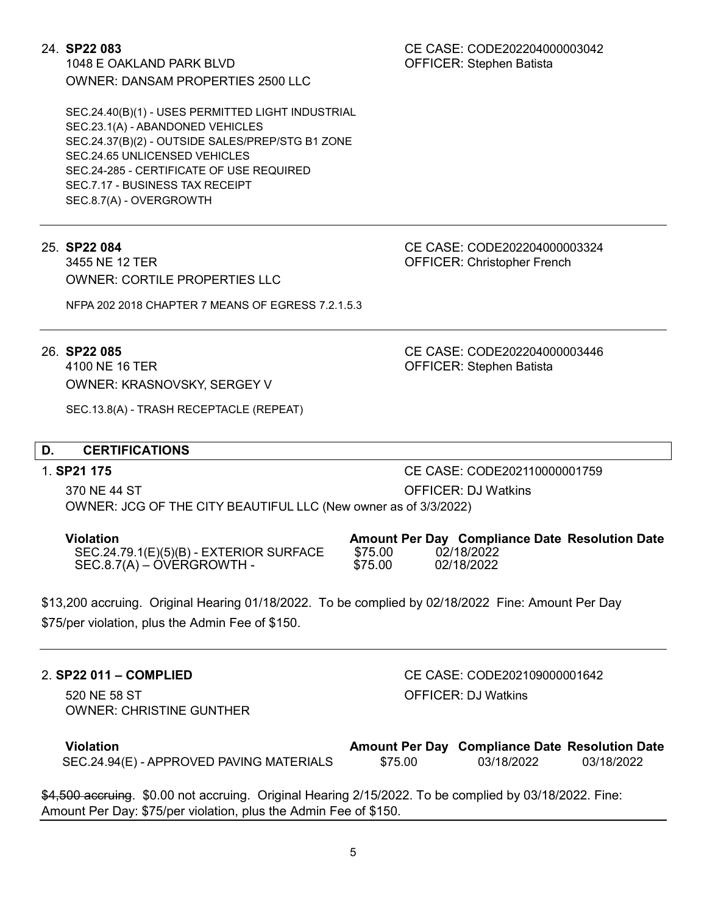1048 E OAKLAND PARK BLVD OFFICER: Stephen Batista OWNER: DANSAM PROPERTIES 2500 LLC

SEC.24.40(B)(1) - USES PERMITTED LIGHT INDUSTRIAL SEC.23.1(A) - ABANDONED VEHICLES SEC.24.37(B)(2) - OUTSIDE SALES/PREP/STG B1 ZONE SEC.24.65 UNLICENSED VEHICLES SEC.24-285 - CERTIFICATE OF USE REQUIRED SEC.7.17 - BUSINESS TAX RECEIPT SEC.8.7(A) - OVERGROWTH

OWNER: CORTILE PROPERTIES LLC

NFPA 202 2018 CHAPTER 7 MEANS OF EGRESS 7.2.1.5.3

4100 NE 16 TER **OFFICER:** Stephen Batista OWNER: KRASNOVSKY, SERGEY V

SEC.13.8(A) - TRASH RECEPTACLE (REPEAT)

# **D. CERTIFICATIONS**

370 NE 44 ST OFFICER: DJ Watkins OWNER: JCG OF THE CITY BEAUTIFUL LLC (New owner as of 3/3/2022)

**Violation Amount Per Day Compliance Date Resolution Date** SEC.24.79.1(E)(5)(B) - EXTERIOR SURFACE \$75.00 02/18/2022  $SEC.8.7(A) - OVERGROWTH -$ 

\$13,200 accruing. Original Hearing 01/18/2022. To be complied by 02/18/2022 Fine: Amount Per Day \$75/per violation, plus the Admin Fee of \$150.

# 2. **SP22 011 – COMPLIED** CE CASE: CODE202109000001642

520 NE 58 ST OFFICER: DJ Watkins OWNER: CHRISTINE GUNTHER

| Violation                                |         | <b>Amount Per Day Compliance Date Resolution Date</b> |            |
|------------------------------------------|---------|-------------------------------------------------------|------------|
| SEC.24.94(E) - APPROVED PAVING MATERIALS | \$75.00 | 03/18/2022                                            | 03/18/2022 |

\$4,500 accruing. \$0.00 not accruing. Original Hearing 2/15/2022. To be complied by 03/18/2022. Fine: Amount Per Day: \$75/per violation, plus the Admin Fee of \$150.

24. **SP22 083** CE CASE: CODE202204000003042

25. **SP22 084** CE CASE: CODE202204000003324 OFFICER: Christopher French

26. **SP22 085** CE CASE: CODE202204000003446

1. **SP21 175** CE CASE: CODE202110000001759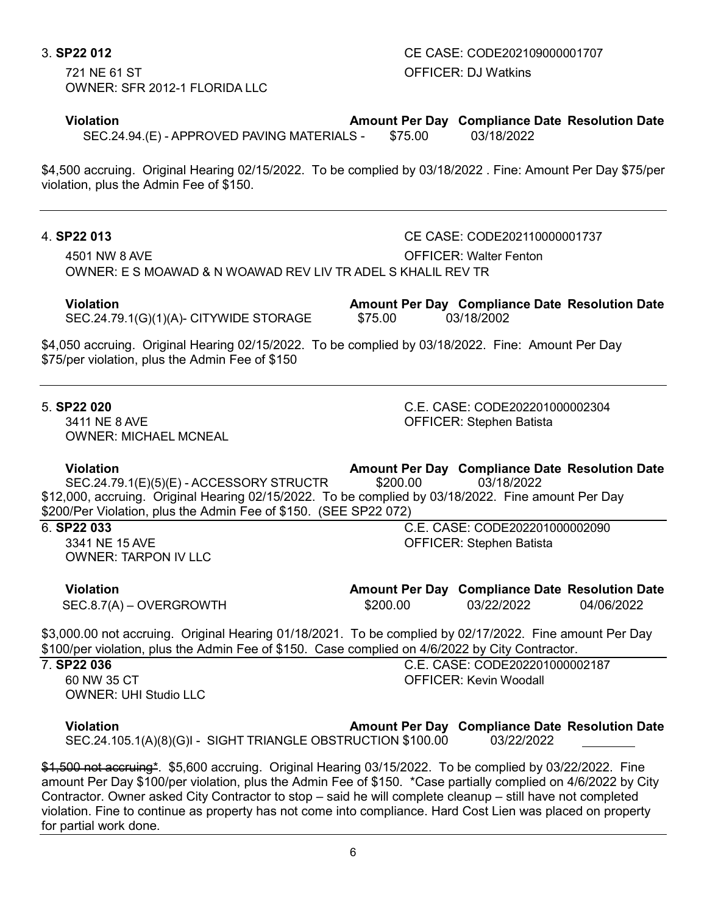721 NE 61 ST OFFICER: DJ Watkins OWNER: SFR 2012-1 FLORIDA LLC

**Violation Amount Per Day Compliance Date Resolution Date** SEC.24.94.(E) - APPROVED PAVING MATERIALS -

\$4,500 accruing. Original Hearing 02/15/2022. To be complied by 03/18/2022 . Fine: Amount Per Day \$75/per violation, plus the Admin Fee of \$150.

# 4. **SP22 013** CE CASE: CODE202110000001737

4501 NW 8 AVE OFFICER: Walter Fenton OWNER: E S MOAWAD & N WOAWAD REV LIV TR ADEL S KHALIL REV TR

SEC.24.79.1(G)(1)(A)- CITYWIDE STORAGE

**Violation Amount Per Day Compliance Date Resolution Date**

OFFICER: Stephen Batista

OFFICER: Stephen Batista

\$4,050 accruing. Original Hearing 02/15/2022. To be complied by 03/18/2022. Fine: Amount Per Day \$75/per violation, plus the Admin Fee of \$150

5. **SP22 020** C.E. CASE: CODE202201000002304 OWNER: MICHAEL MCNEAL

**Violation Amount Per Day Compliance Date Resolution Date**  $SEC.24.79.1(E)(5)(E) - ACCESSORY STRUCTR$ \$12,000, accruing. Original Hearing 02/15/2022. To be complied by 03/18/2022. Fine amount Per Day \$200/Per Violation, plus the Admin Fee of \$150. (SEE SP22 072)

6. **SP22 033** C.E. CASE: CODE202201000002090

OWNER: TARPON IV LLC

**Violation Amount Per Day Compliance Date Resolution Date**

SEC.8.7(A) – OVERGROWTH  $$200.00$  03/22/2022 04/06/2022

\$3,000.00 not accruing. Original Hearing 01/18/2021. To be complied by 02/17/2022. Fine amount Per Day \$100/per violation, plus the Admin Fee of \$150. Case complied on 4/6/2022 by City Contractor.<br>7 **SP22 036** C. F. CASE: CODE2022010000

OWNER: UHI Studio LLC

**P22 036** C.E. CASE: CODE202201000002187<br>60 NW 35 CT CONTENTING CONTENT OF FICER: Kevin Woodall OFFICFR: Kevin Woodall

**Violation Amount Per Day Compliance Date Resolution Date** SEC.24.105.1(A)(8)(G)I - SIGHT TRIANGLE OBSTRUCTION \$100.00

\$1,500 not accruing\*. \$5,600 accruing. Original Hearing 03/15/2022. To be complied by 03/22/2022. Fine amount Per Day \$100/per violation, plus the Admin Fee of \$150. \*Case partially complied on 4/6/2022 by City Contractor. Owner asked City Contractor to stop – said he will complete cleanup – still have not completed violation. Fine to continue as property has not come into compliance. Hard Cost Lien was placed on property for partial work done.